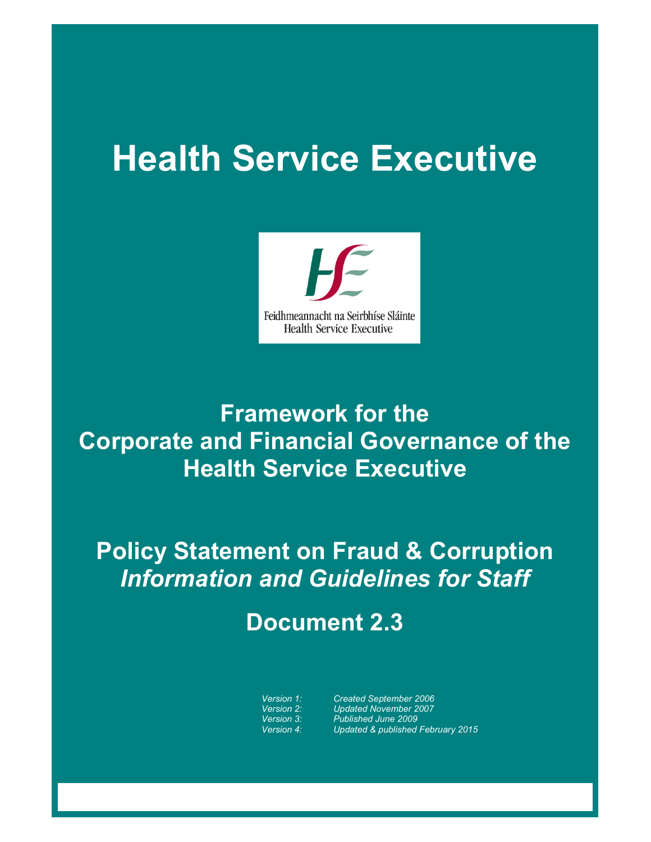# **Health Service Executive**



### **Framework for the Corporate and Financial Governance of the Health Service Executive**

## **Policy Statement on Fraud & Corruption**  *Information and Guidelines for Staff*

### **Document 2.3**

*Version 1: Created September 2006 Version 2: Updated November 2007 Version 3: Published June 2009 Version 4: Updated & published February 2015*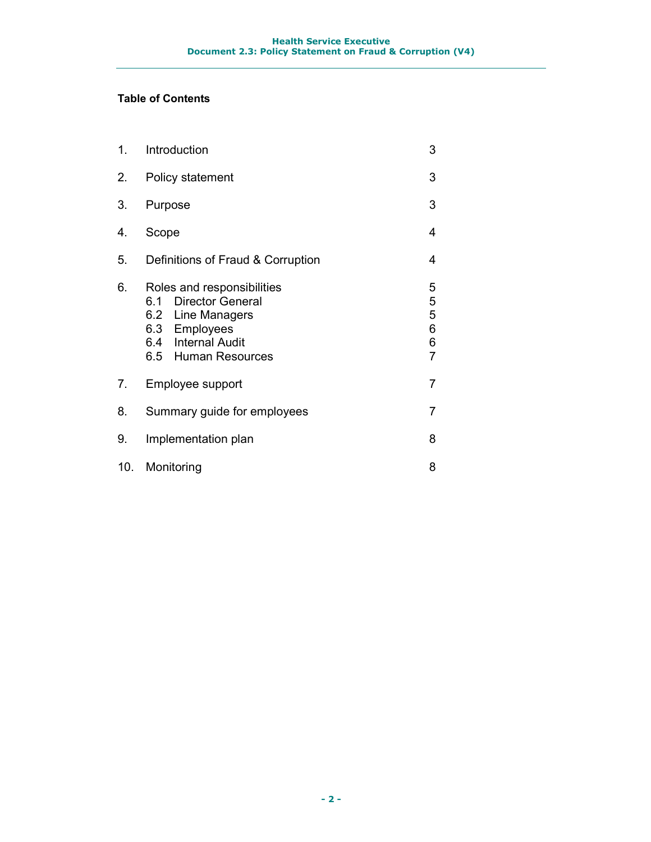#### **Table of Contents**

| 1.  | Introduction                                                                                                                          | 3                                       |
|-----|---------------------------------------------------------------------------------------------------------------------------------------|-----------------------------------------|
| 2.  | Policy statement                                                                                                                      | 3                                       |
| 3.  | Purpose                                                                                                                               |                                         |
| 4.  | Scope                                                                                                                                 |                                         |
| 5.  | Definitions of Fraud & Corruption                                                                                                     |                                         |
| 6.  | Roles and responsibilities<br>6.1 Director General<br>6.2 Line Managers<br>6.3 Employees<br>6.4 Internal Audit<br>6.5 Human Resources | 5<br>5<br>5<br>6<br>6<br>$\overline{7}$ |
| 7.  | Employee support                                                                                                                      | 7                                       |
| 8.  | Summary guide for employees<br>7                                                                                                      |                                         |
| 9.  | Implementation plan<br>8                                                                                                              |                                         |
| 10. | Monitoring                                                                                                                            | 8                                       |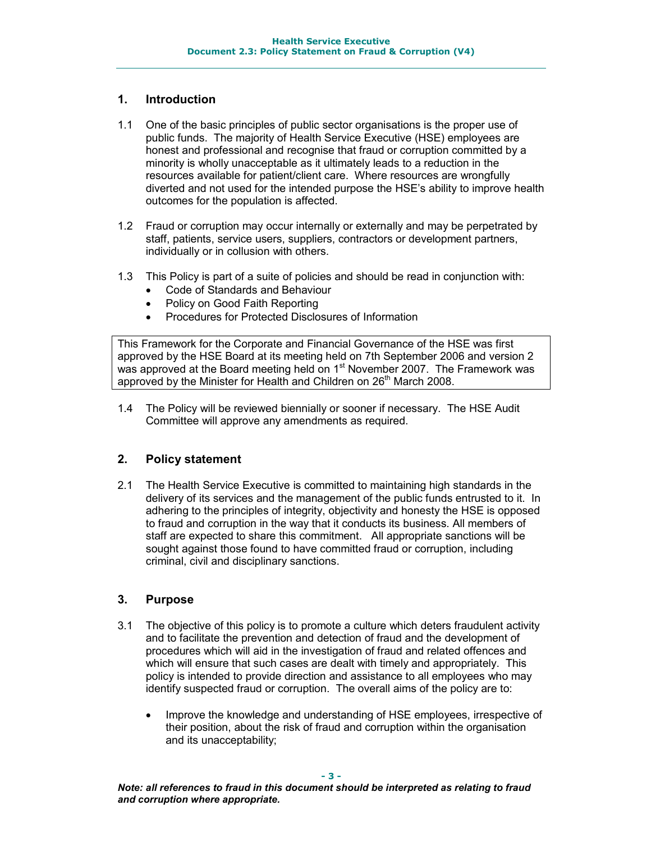#### **1. Introduction**

- 1.1 One of the basic principles of public sector organisations is the proper use of public funds. The majority of Health Service Executive (HSE) employees are honest and professional and recognise that fraud or corruption committed by a minority is wholly unacceptable as it ultimately leads to a reduction in the resources available for patient/client care. Where resources are wrongfully diverted and not used for the intended purpose the HSE's ability to improve health outcomes for the population is affected.
- 1.2 Fraud or corruption may occur internally or externally and may be perpetrated by staff, patients, service users, suppliers, contractors or development partners, individually or in collusion with others.
- 1.3 This Policy is part of a suite of policies and should be read in conjunction with:
	- Code of Standards and Behaviour
	- Policy on Good Faith Reporting
	- Procedures for Protected Disclosures of Information

This Framework for the Corporate and Financial Governance of the HSE was first approved by the HSE Board at its meeting held on 7th September 2006 and version 2 was approved at the Board meeting held on 1<sup>st</sup> November 2007. The Framework was approved by the Minister for Health and Children on 26<sup>th</sup> March 2008.

1.4 The Policy will be reviewed biennially or sooner if necessary. The HSE Audit Committee will approve any amendments as required.

#### **2. Policy statement**

2.1 The Health Service Executive is committed to maintaining high standards in the delivery of its services and the management of the public funds entrusted to it. In adhering to the principles of integrity, objectivity and honesty the HSE is opposed to fraud and corruption in the way that it conducts its business. All members of staff are expected to share this commitment. All appropriate sanctions will be sought against those found to have committed fraud or corruption, including criminal, civil and disciplinary sanctions.

#### **3. Purpose**

- 3.1 The objective of this policy is to promote a culture which deters fraudulent activity and to facilitate the prevention and detection of fraud and the development of procedures which will aid in the investigation of fraud and related offences and which will ensure that such cases are dealt with timely and appropriately. This policy is intended to provide direction and assistance to all employees who may identify suspected fraud or corruption. The overall aims of the policy are to:
	- Improve the knowledge and understanding of HSE employees, irrespective of their position, about the risk of fraud and corruption within the organisation and its unacceptability;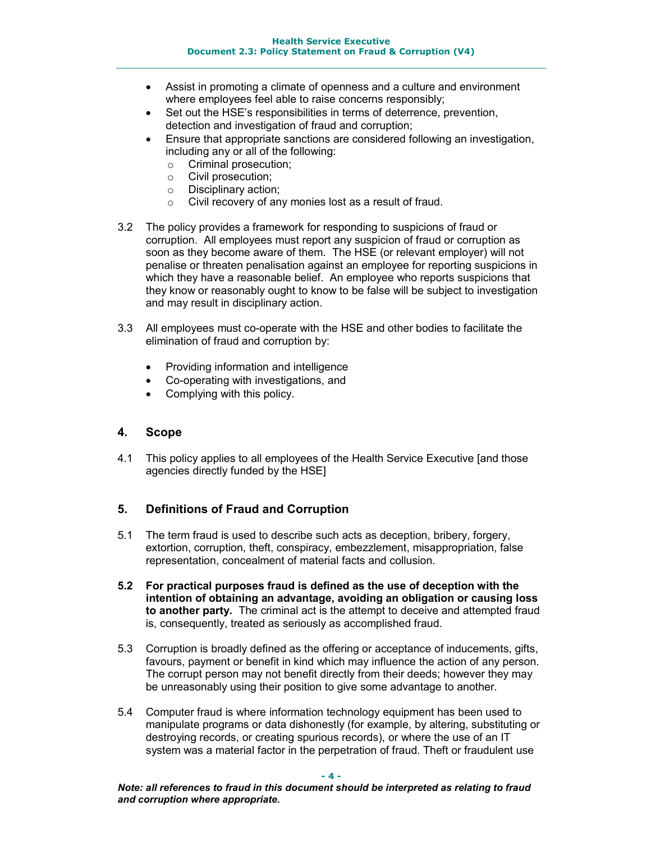- Assist in promoting a climate of openness and a culture and environment where employees feel able to raise concerns responsibly;
- Set out the HSE's responsibilities in terms of deterrence, prevention, detection and investigation of fraud and corruption;
- Ensure that appropriate sanctions are considered following an investigation, including any or all of the following:
	- o Criminal prosecution;
	- o Civil prosecution;
	- o Disciplinary action;
	- o Civil recovery of any monies lost as a result of fraud.
- 3.2 The policy provides a framework for responding to suspicions of fraud or corruption. All employees must report any suspicion of fraud or corruption as soon as they become aware of them. The HSE (or relevant employer) will not penalise or threaten penalisation against an employee for reporting suspicions in which they have a reasonable belief. An employee who reports suspicions that they know or reasonably ought to know to be false will be subject to investigation and may result in disciplinary action.
- 3.3 All employees must co-operate with the HSE and other bodies to facilitate the elimination of fraud and corruption by:
	- Providing information and intelligence
	- Co-operating with investigations, and
	- Complying with this policy.

#### **4. Scope**

4.1 This policy applies to all employees of the Health Service Executive [and those agencies directly funded by the HSE]

#### **5. Definitions of Fraud and Corruption**

- 5.1 The term fraud is used to describe such acts as deception, bribery, forgery, extortion, corruption, theft, conspiracy, embezzlement, misappropriation, false representation, concealment of material facts and collusion.
- **5.2 For practical purposes fraud is defined as the use of deception with the intention of obtaining an advantage, avoiding an obligation or causing loss to another party.** The criminal act is the attempt to deceive and attempted fraud is, consequently, treated as seriously as accomplished fraud.
- 5.3 Corruption is broadly defined as the offering or acceptance of inducements, gifts, favours, payment or benefit in kind which may influence the action of any person. The corrupt person may not benefit directly from their deeds; however they may be unreasonably using their position to give some advantage to another.
- 5.4 Computer fraud is where information technology equipment has been used to manipulate programs or data dishonestly (for example, by altering, substituting or destroying records, or creating spurious records), or where the use of an IT system was a material factor in the perpetration of fraud. Theft or fraudulent use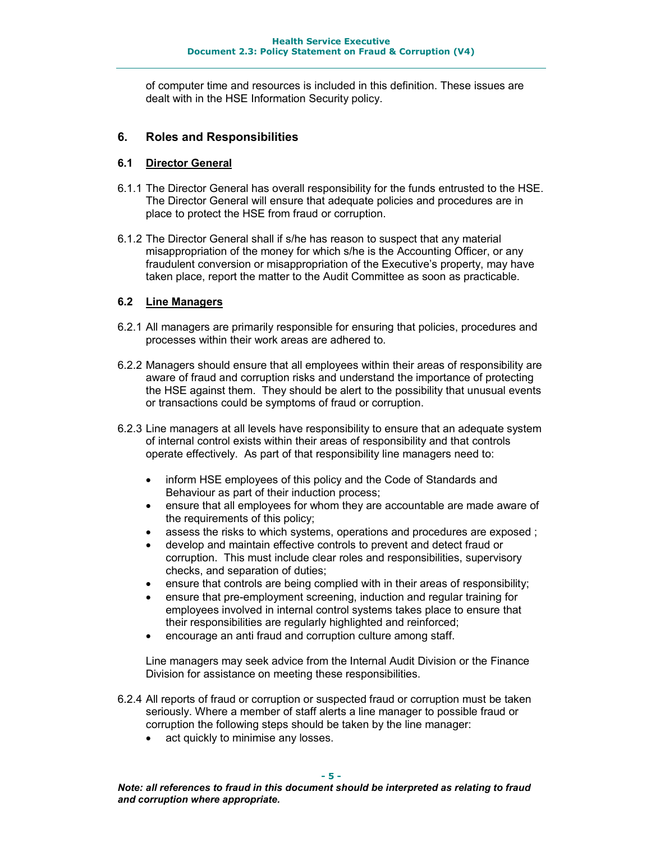of computer time and resources is included in this definition. These issues are dealt with in the HSE Information Security policy.

#### **6. Roles and Responsibilities**

#### **6.1 Director General**

- 6.1.1 The Director General has overall responsibility for the funds entrusted to the HSE. The Director General will ensure that adequate policies and procedures are in place to protect the HSE from fraud or corruption.
- 6.1.2 The Director General shall if s/he has reason to suspect that any material misappropriation of the money for which s/he is the Accounting Officer, or any fraudulent conversion or misappropriation of the Executive's property, may have taken place, report the matter to the Audit Committee as soon as practicable.

#### **6.2 Line Managers**

- 6.2.1 All managers are primarily responsible for ensuring that policies, procedures and processes within their work areas are adhered to.
- 6.2.2 Managers should ensure that all employees within their areas of responsibility are aware of fraud and corruption risks and understand the importance of protecting the HSE against them. They should be alert to the possibility that unusual events or transactions could be symptoms of fraud or corruption.
- 6.2.3 Line managers at all levels have responsibility to ensure that an adequate system of internal control exists within their areas of responsibility and that controls operate effectively. As part of that responsibility line managers need to:
	- inform HSE employees of this policy and the Code of Standards and Behaviour as part of their induction process;
	- ensure that all employees for whom they are accountable are made aware of the requirements of this policy;
	- assess the risks to which systems, operations and procedures are exposed;
	- develop and maintain effective controls to prevent and detect fraud or corruption. This must include clear roles and responsibilities, supervisory checks, and separation of duties;
	- ensure that controls are being complied with in their areas of responsibility;
	- ensure that pre-employment screening, induction and regular training for employees involved in internal control systems takes place to ensure that their responsibilities are regularly highlighted and reinforced;
	- encourage an anti fraud and corruption culture among staff.

Line managers may seek advice from the Internal Audit Division or the Finance Division for assistance on meeting these responsibilities.

- 6.2.4 All reports of fraud or corruption or suspected fraud or corruption must be taken seriously. Where a member of staff alerts a line manager to possible fraud or corruption the following steps should be taken by the line manager:
	- act quickly to minimise any losses.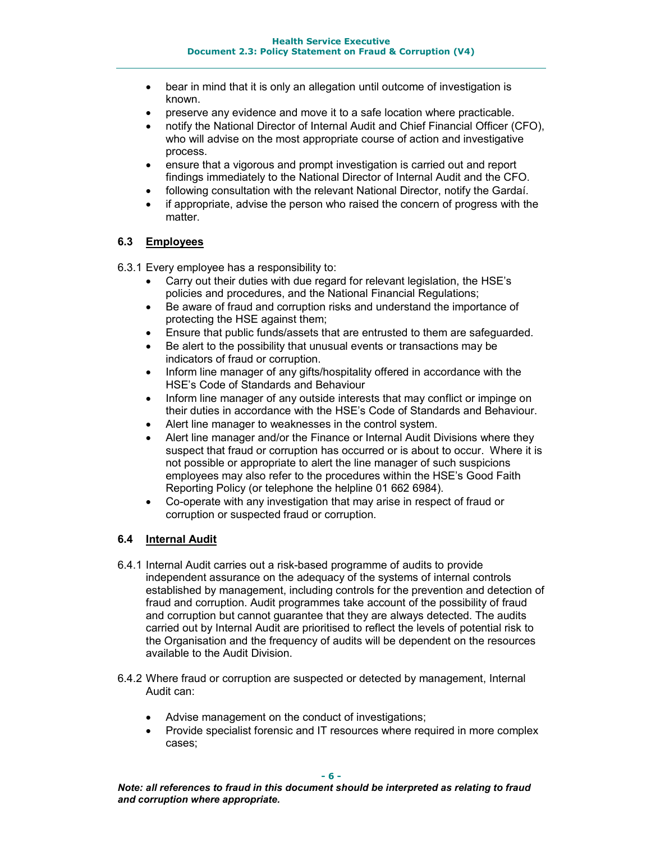- bear in mind that it is only an allegation until outcome of investigation is known.
- preserve any evidence and move it to a safe location where practicable.
- notify the National Director of Internal Audit and Chief Financial Officer (CFO), who will advise on the most appropriate course of action and investigative process.
- ensure that a vigorous and prompt investigation is carried out and report findings immediately to the National Director of Internal Audit and the CFO.
- following consultation with the relevant National Director, notify the Gardaí.
- if appropriate, advise the person who raised the concern of progress with the matter.

#### **6.3 Employees**

6.3.1 Every employee has a responsibility to:

- Carry out their duties with due regard for relevant legislation, the HSE's policies and procedures, and the National Financial Regulations;
- Be aware of fraud and corruption risks and understand the importance of protecting the HSE against them;
- Ensure that public funds/assets that are entrusted to them are safeguarded.
- Be alert to the possibility that unusual events or transactions may be indicators of fraud or corruption.
- Inform line manager of any gifts/hospitality offered in accordance with the HSE's Code of Standards and Behaviour
- Inform line manager of any outside interests that may conflict or impinge on their duties in accordance with the HSE's Code of Standards and Behaviour.
- Alert line manager to weaknesses in the control system.
- Alert line manager and/or the Finance or Internal Audit Divisions where they suspect that fraud or corruption has occurred or is about to occur. Where it is not possible or appropriate to alert the line manager of such suspicions employees may also refer to the procedures within the HSE's Good Faith Reporting Policy (or telephone the helpline 01 662 6984).
- Co-operate with any investigation that may arise in respect of fraud or corruption or suspected fraud or corruption.

#### **6.4 Internal Audit**

- 6.4.1 Internal Audit carries out a risk-based programme of audits to provide independent assurance on the adequacy of the systems of internal controls established by management, including controls for the prevention and detection of fraud and corruption. Audit programmes take account of the possibility of fraud and corruption but cannot guarantee that they are always detected. The audits carried out by Internal Audit are prioritised to reflect the levels of potential risk to the Organisation and the frequency of audits will be dependent on the resources available to the Audit Division.
- 6.4.2 Where fraud or corruption are suspected or detected by management, Internal Audit can:
	- Advise management on the conduct of investigations;
	- Provide specialist forensic and IT resources where required in more complex cases;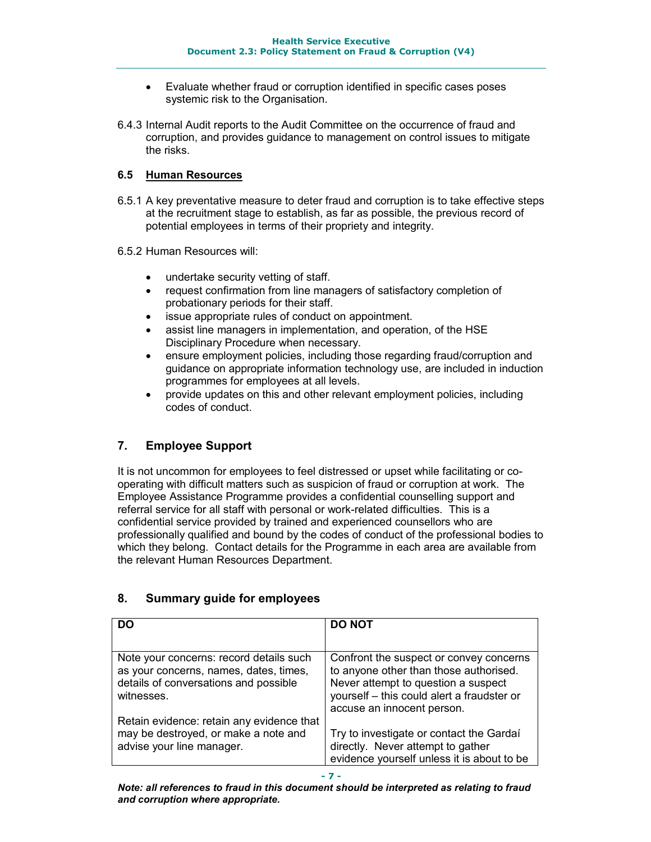- Evaluate whether fraud or corruption identified in specific cases poses systemic risk to the Organisation.
- 6.4.3 Internal Audit reports to the Audit Committee on the occurrence of fraud and corruption, and provides guidance to management on control issues to mitigate the risks.

#### **6.5 Human Resources**

- 6.5.1 A key preventative measure to deter fraud and corruption is to take effective steps at the recruitment stage to establish, as far as possible, the previous record of potential employees in terms of their propriety and integrity.
- 6.5.2 Human Resources will:
	- undertake security vetting of staff.
	- request confirmation from line managers of satisfactory completion of probationary periods for their staff.
	- issue appropriate rules of conduct on appointment.
	- assist line managers in implementation, and operation, of the HSE Disciplinary Procedure when necessary.
	- ensure employment policies, including those regarding fraud/corruption and guidance on appropriate information technology use, are included in induction programmes for employees at all levels.
	- provide updates on this and other relevant employment policies, including codes of conduct.

#### **7. Employee Support**

It is not uncommon for employees to feel distressed or upset while facilitating or cooperating with difficult matters such as suspicion of fraud or corruption at work. The Employee Assistance Programme provides a confidential counselling support and referral service for all staff with personal or work-related difficulties. This is a confidential service provided by trained and experienced counsellors who are professionally qualified and bound by the codes of conduct of the professional bodies to which they belong. Contact details for the Programme in each area are available from the relevant Human Resources Department.

| DO                                                                                                             | <b>DO NOT</b>                                                                                                                                             |
|----------------------------------------------------------------------------------------------------------------|-----------------------------------------------------------------------------------------------------------------------------------------------------------|
| Note your concerns: record details such                                                                        | Confront the suspect or convey concerns                                                                                                                   |
| as your concerns, names, dates, times,<br>details of conversations and possible<br>witnesses.                  | to anyone other than those authorised.<br>Never attempt to question a suspect<br>yourself - this could alert a fraudster or<br>accuse an innocent person. |
| Retain evidence: retain any evidence that<br>may be destroyed, or make a note and<br>advise your line manager. | Try to investigate or contact the Gardaí<br>directly. Never attempt to gather<br>evidence yourself unless it is about to be                               |

#### **8. Summary guide for employees**